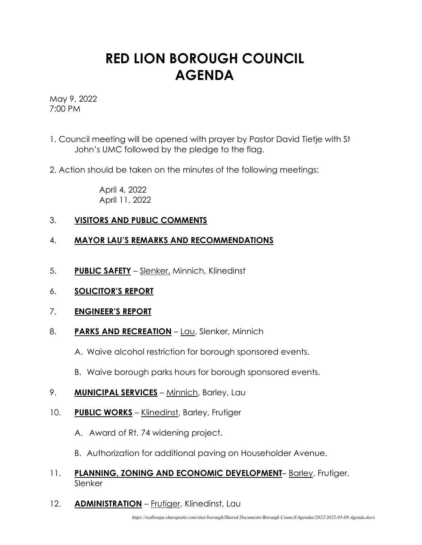## **RED LION BOROUGH COUNCIL AGENDA**

May 9, 2022 7:00 PM

- 1. Council meeting will be opened with prayer by Pastor David Tietje with St John's UMC followed by the pledge to the flag.
- 2. Action should be taken on the minutes of the following meetings:

April 4, 2022 April 11, 2022

## 3. **VISITORS AND PUBLIC COMMENTS**

## 4. **MAYOR LAU'S REMARKS AND RECOMMENDATIONS**

- 5. **PUBLIC SAFETY** Slenker, Minnich, Klinedinst
- 6. **SOLICITOR'S REPORT**
- 7. **ENGINEER'S REPORT**
- 8. PARKS AND RECREATION Lau, Slenker, Minnich
	- A. Waive alcohol restriction for borough sponsored events.
	- B. Waive borough parks hours for borough sponsored events.
- 9. **MUNICIPAL SERVICES** Minnich, Barley, Lau
- 10. **PUBLIC WORKS** Klinedinst, Barley, Frutiger
	- A. Award of Rt. 74 widening project.
	- B. Authorization for additional paving on Householder Avenue.
- 11. **PLANNING, ZONING AND ECONOMIC DEVELOPMENT** Barley, Frutiger, Slenker
- 12. **ADMINISTRATION** Frutiger, Klinedinst, Lau